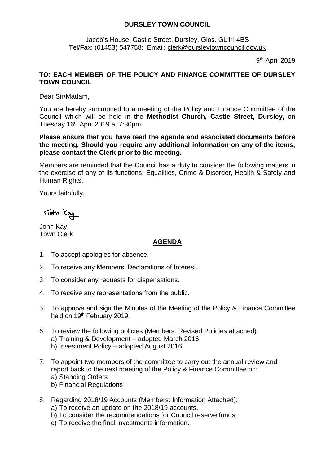## **DURSLEY TOWN COUNCIL**

Jacob's House, Castle Street, Dursley, Glos. GL11 4BS Tel/Fax: (01453) 547758: Email: [clerk@dursleytowncouncil.gov.uk](mailto:clerk@dursleytowncouncil.gov.uk)

9<sup>th</sup> April 2019

## **TO: EACH MEMBER OF THE POLICY AND FINANCE COMMITTEE OF DURSLEY TOWN COUNCIL**

Dear Sir/Madam,

You are hereby summoned to a meeting of the Policy and Finance Committee of the Council which will be held in the **Methodist Church, Castle Street, Dursley,** on Tuesday 16th April 2019 at 7:30pm.

**Please ensure that you have read the agenda and associated documents before the meeting. Should you require any additional information on any of the items, please contact the Clerk prior to the meeting.** 

Members are reminded that the Council has a duty to consider the following matters in the exercise of any of its functions: Equalities, Crime & Disorder, Health & Safety and Human Rights.

Yours faithfully,

John Kay

John Kay Town Clerk

## **AGENDA**

- 1. To accept apologies for absence.
- 2. To receive any Members' Declarations of Interest.
- 3. To consider any requests for dispensations.
- 4. To receive any representations from the public.
- 5. To approve and sign the Minutes of the Meeting of the Policy & Finance Committee held on 19<sup>th</sup> February 2019.
- 6. To review the following policies (Members: Revised Policies attached): a) Training & Development – adopted March 2016 b) Investment Policy – adopted August 2016
- 7. To appoint two members of the committee to carry out the annual review and report back to the next meeting of the Policy & Finance Committee on:
	- a) Standing Orders
	- b) Financial Regulations
- 8. Regarding 2018/19 Accounts (Members: Information Attached):
	- a) To receive an update on the 2018/19 accounts.
	- b) To consider the recommendations for Council reserve funds.
	- c) To receive the final investments information.